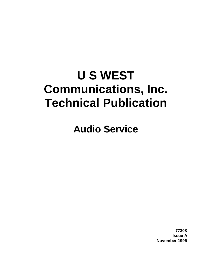# **U S WEST Communications, Inc. Technical Publication**

**Audio Service**

**77308 Issue A November 1996**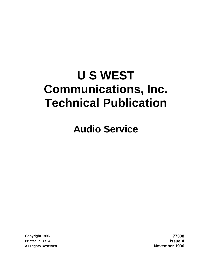# **U S WEST Communications, Inc. Technical Publication**

**Audio Service**

**Copyright 1996 77308 Printed in U.S.A. Issue A All Rights Reserved November 1996**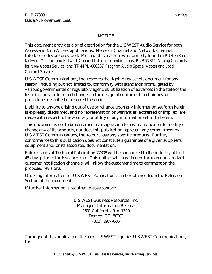#### NOTICE

This document provides a brief description for the U S WEST Audio Service for both Access and Non-Access applications. Network Channel and Network Channel Interface codes are provided. Much of this material was formerly found in PUB 77365, *Network Channel and Network Channel Interface Combinations*, PUB 77311, *Analog Channels for Non-Access Service*, and TR-NPL-000337, *Program Audio Special Access and Local Channel Services.*

U S WEST Communications, Inc. reserves the right to revise this document for any reason, including but not limited to, conformity with standards promulgated by various governmental or regulatory agencies; utilization of advances in the state of the technical arts; or to reflect changes in the design of equipment, techniques, or procedures described or referred to herein.

Liability to anyone arising out of use or reliance upon any information set forth herein is expressly disclaimed, and no representation or warranties, expressed or implied, are made with respect to the accuracy or utility of any information set forth herein.

This document is not to be construed as a suggestion to any manufacturer to modify or change any of its products, nor does this publication represent any commitment by U S WEST Communications, Inc. to purchase any specific products. Further, conformance to this publication does not constitute a guarantee of a given supplier's equipment and/or its associated documentation.

Future issues of Technical Publication 77308 will be announced to the industry at least 45 days prior to the issuance date. This notice, which will come through our standard customer notification channels, will allow the customer time to comment on the proposed revisions.

Ordering information for U S WEST Publications can be obtained from the Reference Section of this document.

If further information is required, please contact:

U S WEST Business Resources, Inc. Manager - Information Release 1801 California, Rm. 1320 Denver, CO 80202 (303) 297-7635

Throughout this publication, the term U S WEST signifies U S WEST Communications, Inc.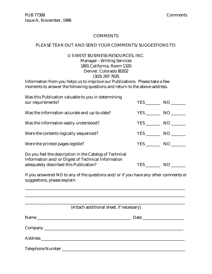#### **COMMENTS**

#### PLEASE TEAR OUT AND SEND YOUR COMMENTS/SUGGESTIONS TO:

#### U S WEST BUSINESS RESOURCES, INC. Manager - Writing Services

1801 California, Room 1320 Denver, Colorado 80202 (303) 297-7635

Information from you helps us to improve our Publications. Please take a few moments to answer the following questions and return to the above address.

| Was this Publication valuable to you in determining<br>our requirements?                                                                                | <b>YES</b> | NO <sub>1</sub> |
|---------------------------------------------------------------------------------------------------------------------------------------------------------|------------|-----------------|
| Was the information accurate and up-to-date?                                                                                                            | <b>YES</b> | NO              |
| Was the information easily understood?                                                                                                                  |            | NO <sub>1</sub> |
| Were the contents logically sequenced?                                                                                                                  | YES NO     |                 |
| Were the printed pages legible?                                                                                                                         | YES NO     |                 |
| Do you feel the description in the Catalog of Technical<br>Information and/or Digest of Technical Information<br>adequately described this Publication? | YES        | N <sub>O</sub>  |

If you answered NO to any of the questions and/or if you have any other comments or suggestions, please explain:

\_\_\_\_\_\_\_\_\_\_\_\_\_\_\_\_\_\_\_\_\_\_\_\_\_\_\_\_\_\_\_\_\_\_\_\_\_\_\_\_\_\_\_\_\_\_\_\_\_\_\_\_\_\_\_\_\_\_\_\_\_\_\_\_\_\_\_\_\_\_\_\_\_\_\_\_\_

| (Attach additional sheet, if necessary) |
|-----------------------------------------|
| Date                                    |
|                                         |
|                                         |
|                                         |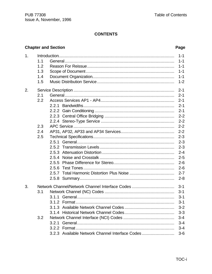# **CONTENTS**

# **Chapter and Section**

#### Page

| 1. | 1.1<br>1.2<br>1.3<br>1.4<br>1.5 |                                                                                                    | $1 - 1$<br>$1 - 1$<br>$1 - 1$<br>$1 - 1$<br>$1 - 1$<br>$1 - 2$                                                        |
|----|---------------------------------|----------------------------------------------------------------------------------------------------|-----------------------------------------------------------------------------------------------------------------------|
| 2. | 2.1<br>2.2                      |                                                                                                    | $2 - 1$<br>$2 - 1$<br>$2 - 1$<br>$2 - 1$<br>$2 - 1$<br>$2 - 2$<br>$2 - 2$                                             |
|    | 2.3<br>2.4<br>2.5               | 2.5.5                                                                                              | $2 - 2$<br>$2 - 2$<br>$2 - 3$<br>$2 - 3$<br>$2 - 3$<br>$2 - 4$<br>$2 - 5$<br>$2 - 6$<br>$2 - 6$<br>$2 - 7$<br>$2 - 8$ |
| 3. | 3.1<br>3.2                      | Network Channel/Network Channel Interface Codes<br>3.2.3 Available Network Channel Interface Codes | $3 - 1$<br>$3 - 1$<br>$3 - 1$<br>$3 - 1$<br>$3 - 2$<br>$3 - 3$<br>$3 - 4$<br>$3 - 4$<br>$3 - 4$<br>$3-6$              |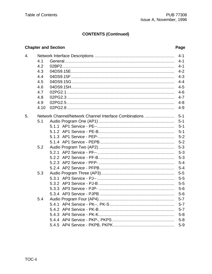# **CONTENTS (Continued)**

# **Chapter and Section**

#### Page

| 4. |      | $4 - 1$ |
|----|------|---------|
|    | 4.1  | $4 - 1$ |
|    | 4.2  | $4 - 1$ |
|    | 4.3  | $4 - 2$ |
|    | 4.4  | $4 - 3$ |
|    | 4.5  | $4 - 4$ |
|    | 4.6  | $4 - 5$ |
|    | 4.7  | $4 - 6$ |
|    | 4.8  | $4 - 7$ |
|    | 4.9  | $4 - 8$ |
|    | 4.10 | $4 - 9$ |
| 5. |      |         |
|    | 5.1  | $5 - 1$ |
|    |      | $5 - 1$ |
|    |      | $5 - 1$ |
|    |      | $5 - 2$ |
|    |      | $5 - 2$ |
|    | 5.2  | $5 - 3$ |
|    |      | $5 - 3$ |
|    |      | $5 - 3$ |
|    |      | $5-4$   |
|    |      | $5 - 4$ |
|    | 5.3  | $5-5$   |
|    |      | $5-5$   |
|    |      | $5-5$   |
|    |      | $5-6$   |
|    |      | $5-6$   |
|    | 5.4  | $5 - 7$ |
|    |      | $5 - 7$ |
|    |      | $5 - 7$ |
|    |      | $5 - 8$ |
|    |      | $5 - 8$ |
|    |      | $5-9$   |
|    |      |         |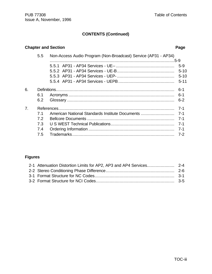TOC-iii

### **CONTENTS (Continued)**

#### **Chapter and Section** *Page*

|                | 5.5 | Non-Access Audio Program (Non-Broadcast) Service (AP31 - AP34) |          |
|----------------|-----|----------------------------------------------------------------|----------|
|                |     |                                                                | $5-9$    |
|                |     |                                                                | $5 - 10$ |
|                |     |                                                                |          |
|                |     |                                                                | $5 - 11$ |
| 6.             |     |                                                                | $6 - 1$  |
|                | 6.1 |                                                                | $6 - 1$  |
|                | 6.2 |                                                                | $6 - 2$  |
| 7 <sub>1</sub> |     |                                                                | $7 - 1$  |
|                | 7.1 |                                                                |          |
|                | 7.2 |                                                                |          |
|                | 7.3 |                                                                |          |
|                | 7.4 |                                                                |          |

#### **Figures**

7.5 Trademarks.................................................................................. 7-2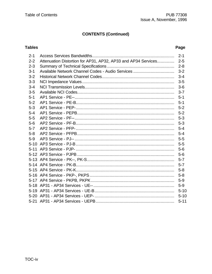# **CONTENTS (Continued)**

# **Tables**

#### Page

| $2 - 1$ |                                                                   |          |
|---------|-------------------------------------------------------------------|----------|
| $2 - 2$ | Attenuation Distortion for AP31, AP32, AP33 and AP34 Services 2-5 |          |
| $2 - 3$ |                                                                   |          |
| $3 - 1$ |                                                                   |          |
| $3 - 2$ |                                                                   |          |
| $3 - 3$ |                                                                   |          |
| $3 - 4$ |                                                                   |          |
| $3-5$   |                                                                   |          |
| $5 - 1$ |                                                                   |          |
| $5 - 2$ |                                                                   |          |
| $5 - 3$ |                                                                   |          |
| $5 - 4$ |                                                                   |          |
| $5 - 5$ |                                                                   |          |
| $5-6$   |                                                                   |          |
| $5 - 7$ |                                                                   |          |
| $5 - 8$ |                                                                   |          |
| $5-9$   |                                                                   |          |
|         |                                                                   |          |
|         |                                                                   |          |
|         |                                                                   |          |
|         |                                                                   |          |
|         |                                                                   |          |
|         |                                                                   |          |
|         |                                                                   |          |
|         |                                                                   |          |
|         |                                                                   |          |
|         |                                                                   |          |
|         |                                                                   | $5 - 10$ |
|         |                                                                   | $5 - 11$ |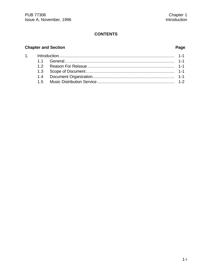# **CONTENTS**

# $C<sub>l</sub>$

 $1.$ 

|  |  | hapter and Section |
|--|--|--------------------|
|--|--|--------------------|

# Page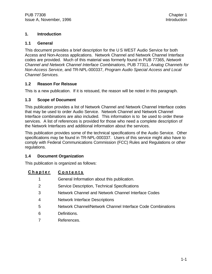#### **1. Introduction**

#### **1.1 General**

This document provides a brief description for the U S WEST Audio Service for both Access and Non-Access applications. Network Channel and Network Channel Interface codes are provided. Much of this material was formerly found in PUB 77365, *Network Channel and Network Channel Interface Combinations*, PUB 77311, *Analog Channels for Non-Access Service*, and TR-NPL-000337, *Program Audio Special Access and Local Channel Services.*

#### **1.2 Reason For Reissue**

This is a new publication. If it is reissued, the reason will be noted in this paragraph.

#### **1.3 Scope of Document**

This publication provides a list of Network Channel and Network Channel Interface codes that may be used to order Audio Service. Network Channel and Network Channel Interface combinations are also included. This information is to be used to order these services. A list of references is provided for those who need a complete description of the Network Interfaces and additional information about the services.

This publication provides some of the technical specifications of the Audio Service. Other specifications may be found in TR-NPL-000337. Users of this service might also have to comply with Federal Communications Commission (FCC) Rules and Regulations or other regulations.

#### **1.4 Document Organization**

This publication is organized as follows:

# **Chapter Contents**

- 1 General Information about this publication.
- 2 Service Description, Technical Specifications
- 3 Network Channel and Network Channel Interface Codes
- 4 Network Interface Descriptions
- 5 Network Channel/Network Channel Interface Code Combinations
- 6 Definitions.
- 7 References.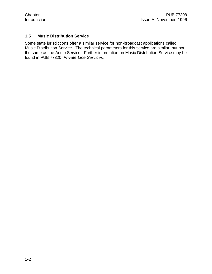#### **1.5 Music Distribution Service**

Some state jurisdictions offer a similar service for non-broadcast applications called Music Distribution Service. The technical parameters for this service are similar, but not the same as the Audio Service. Further information on Music Distribution Service may be found in PUB 77320, *Private Line Services.*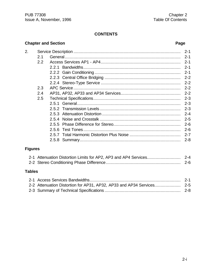# **CONTENTS**

# **Chapter and Section Page**

|     | $2 - 1$ |
|-----|---------|
| 2.1 | $2 - 1$ |
| 2.2 | $2 - 1$ |
|     | $2 - 1$ |
|     | $2 - 1$ |
|     | $2 - 2$ |
|     | $2 - 2$ |
| 2.3 | $2 - 2$ |
| 2.4 | $2 - 2$ |
| 2.5 | $2 - 3$ |
|     | $2 - 3$ |
|     | $2 - 3$ |
|     | $2 - 4$ |
|     | $2 - 5$ |
|     | $2 - 6$ |
|     | $2 - 6$ |
|     | $2 - 7$ |
|     | $2 - 8$ |
|     |         |
|     |         |

# **Figures**

# **Tables**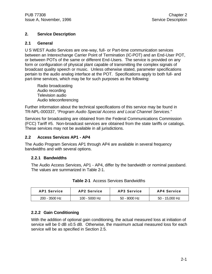#### **2. Service Description**

#### **2.1 General**

U S WEST Audio Services are one-way, full- or Part-time communication services between an Interexchange Carrier Point of Termination (IC-POT) and an End-User POT, or between POTs of the same or different End-Users. The service is provided on any form or configuration of physical plant capable of transmitting the complex signals of broadcast quality speech or music. Unless otherwise stated, parameter specifications pertain to the audio analog interface at the POT. Specifications apply to both full- and part-time services, which may be for such purposes as the following:

Radio broadcasting Audio recording Television audio Audio teleconferencing

Further information about the technical specifications of this service may be found in TR-NPL-000337, *"Program Audio Special Access and Local Channel Services."*

Services for broadcasting are obtained from the Federal Communications Commission (FCC) Tariff #5. Non-broadcast services are obtained from the state tariffs or catalogs. These services may not be available in all jurisdictions.

#### **2.2 Access Services AP1 - AP4**

The Audio Program Services AP1 through AP4 are available in several frequency bandwidths and with several options.

#### **2.2.1 Bandwidths**

The Audio Access Services, AP1 - AP4, differ by the bandwidth or nominal passband. The values are summarized in Table 2-1.

| <b>AP1 Service</b> | <b>AP2 Service</b> | AP3 Service    | AP4 Service    |
|--------------------|--------------------|----------------|----------------|
| $200 - 3500$ Hz    | 100 - 5000 Hz      | $50 - 8000$ Hz | 50 - 15.000 Hz |

**Table 2-1** Access Services Bandwidths

#### **2.2.2 Gain Conditioning**

With the addition of optional gain conditioning, the actual measured loss at initiation of service will be 0 dB  $\pm$ 0.5 dB. Otherwise, the maximum actual measured loss for each service will be as specified in Section 2.5.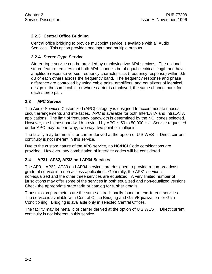# **2.2.3 Central Office Bridging**

Central office bridging to provide multipoint service is available with all Audio Services. This option provides one input and multiple outputs.

#### **2.2.4 Stereo-Type Service**

Stereo-type service can be provided by employing two AP4 services. The optional stereo feature requires that both AP4 channels be of equal electrical length and have amplitude response versus frequency characteristics (frequency response) within 0.5 dB of each others across the frequency band. The frequency response and phase difference are controlled by using cable pairs, amplifiers, and equalizers of identical design in the same cable, or where carrier is employed, the same channel bank for each stereo pair.

#### **2.3 APC Service**

The Audio Services Customized (APC) category is designed to accommodate unusual circuit arrangements and interfaces. APC is available for both InterLATA and IntraLATA applications. The limit of frequency bandwidth is determined by the NCI codes selected. However, the highest bandwidth provided by APC is 50 to 50,000 Hz. Service requested under APC may be one way, two way, two-point or multipoint.

The facility may be metallic or carrier derived at the option of U S WEST. Direct current continuity is not inherent in this service.

Due to the custom nature of the APC service, no NC/NCI Code combinations are provided. However, any combination of interface codes will be considered.

#### **2.4 AP31, AP32, AP33 and AP34 Services**

The AP31, AP32, AP33 and AP34 services are designed to provide a non-broadcast grade of service in a non-access application. Generally, the AP31 service is non-equalized and the other three services are equalized. A very limited number of jurisdictions may offer some of the services in both equalized and non-equalized versions. Check the appropriate state tariff or catalog for further details.

Transmission parameters are the same as traditionally found on end-to-end services. The service is available with Central Office Bridging and Gain/Equalization or Gain Conditioning. Bridging is available only in selected Central Offices.

The facility may be metallic or carrier derived at the option of U S WEST. Direct current continuity is not inherent in this service.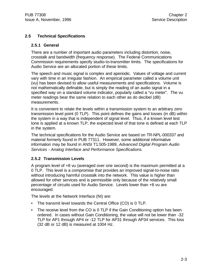#### **2.5 Technical Specifications**

#### **2.5.1 General**

There are a number of important audio parameters including distortion, noise, crosstalk and bandwidth (frequency response). The Federal Communications Commission requirements specify studio-to-transmitter limits. The specifications for Audio Service are an allocated portion of these limits.

The speech and music signal is complex and aperiodic. Values of voltage and current vary with time in an irregular fashion. An empirical parameter called a volume unit (vu) has been devised to allow useful measurements and specifications. Volume is not mathematically definable, but is simply the reading of an audio signal in a specified way on a standard volume indicator, popularly called a "vu meter". The vu meter readings bear the same relation to each other as do decibel (dB) measurements.

It is convenient to relate the levels within a transmission system to an arbitrary zero transmission level point (0 TLP). This point defines the gains and losses (in dB) within the system in a way that is independent of signal level. Thus, if a known level test tone is applied at a known TLP, the expected level of that tone is defined at each TLP in the system.

The technical specifications for the Audio Service are based on TR-NPL-000337 and material formerly found in PUB 77311. However, some additional informative information may be found in ANSI T1.505-1989, *Advanced Digital Program Audio Services - Analog Interface and Performance Specifications.*

#### **2.5.2 Transmission Levels**

A program level of +8 vu (averaged over one second) is the maximum permitted at a 0 TLP. This level is a compromise that provides an improved signal-to-noise ratio without introducing harmful crosstalk into the network. This value is higher than allowed for other services and is permissible only because of the relatively small percentage of circuits used for Audio Service. Levels lower than +8 vu are encouraged.

The levels at the Network Interface (NI) are:

- The transmit level towards the Central Office (CO) is 0 TLP.
- The receive level from the CO is 0 TLP if the Gain Conditioning option has been ordered. In cases without Gain Conditioning, the value will not be lower than -32 TLP for AP1 through AP4 or -12 TLP for AP31 through AP34 services. This loss (32 dB or 12 dB) is measured at 1004 Hz.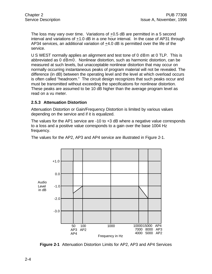The loss may vary over time. Variations of +0.5 dB are permitted in a 5 second interval and variations of +1.0 dB in a one hour interval. In the case of AP31 through AP34 services, an additional variation of +4.0 dB is permitted over the life of the service.

U S WEST normally applies an alignment and test tone of 0 dBm at 0 TLP. This is abbreviated as 0 dBm0. Nonlinear distortion, such as harmonic distortion, can be measured at such levels, but unacceptable nonlinear distortion that may occur on normally occurring instantaneous peaks of program material will not be revealed. The difference (in dB) between the operating level and the level at which overload occurs is often called "headroom." The circuit design recognizes that such peaks occur and must be transmitted without exceeding the specifications for nonlinear distortion. These peaks are assumed to be 10 dB higher than the average program level as read on a vu meter.

#### **2.5.3 Attenuation Distortion**

Attenuation Distortion or Gain/Frequency Distortion is limited by various values depending on the service and if it is equalized.

The values for the AP1 service are -10 to +3 dB where a negative value corresponds to a loss and a positive value corresponds to a gain over the base 1004 Hz frequency.

The values for the AP2, AP3 and AP4 service are illustrated in Figure 2-1.



**Figure 2-1** Attenuation Distortion Limits for AP2, AP3 and AP4 Services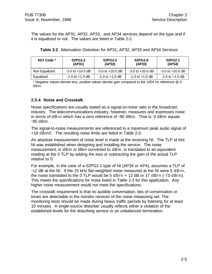The values for the AP31, AP32, AP33, and AP34 services depend on the type and if it is equalized or not. The values are listed in Table 2-2.

| NCI Code *    | 02PG2.3<br>(AP31)    | 02PG2.5<br>(AP32)    | 02PG2.8<br>(AP33)    | 02PG2.1<br>(AP34)    |
|---------------|----------------------|----------------------|----------------------|----------------------|
| Non Equalized | $-3.0$ to $+10.0$ dB | $-3.0$ to $+20.0$ dB | $-3.0$ to $+20.0$ dB | $-3.0$ to $+20.0$ dB |
| Equalized     | $-1.0$ to $+1.0$ dB  | $-1.0$ to $+1.0$ dB  | $-1.0$ to $+1.0$ dB  | $-1.0$ to $+1.0$ dB  |

| <b>Table 2-2</b> Attenuation Distortion for AP31, AP32, AP33 and AP34 Services |
|--------------------------------------------------------------------------------|
|--------------------------------------------------------------------------------|

\* Negative values denote loss, positive values denote gain compared to the 1004 Hz reference @ 0 dBm.

#### **2.5.4 Noise and Crosstalk**

Noise specifications are usually stated as a signal-to-noise ratio in the broadcast industry. The telecommunications industry, however, measures and expresses noise in terms of dBrn which has a zero reference of -90 dBm. That is, 0 dBm equals -90 dBm.

The signal-to-noise measurements are referenced to a maximum peak audio signal of +18 dBm0. The resulting noise limits are listed in Table 2-3.

An absolute measurement of noise level is made at the receiving NI. The TLP of this NI was established when designing and installing the service. The noise measurement, in dBm or dBrn converted to dBm, is translated to an equivalent reading at the 0 TLP by adding the loss or subtracting the gain of the actual TLP relative to 0.

For example, in the case of a 02PG2.1 type of NI (AP34 or AP4), assumes a TLP of -12 dB at the NI. If the 15 kHz flat-weighted noise measured at the NI were 5 dBrn, the noise translated to the  $0$  TLP would be  $5$  dBrn  $+$  12 dB or 17 dBrn (-73 dBrn). This meets the specifications for noise listed in Table 2-3 for this application. Any higher noise measurement would not meet the specifications.

The crosstalk requirement is that no audible conversation, bits of conversation or tones are detectable in the monitor receiver of the noise measuring set. The monitoring tests should be made during heavy traffic periods by listening for at least 10 minutes. A single-source disturber usually reflects either a violation of the established levels for the disturbing service or an unbalanced termination.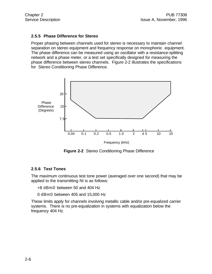#### **2.5.5 Phase Difference for Stereo**

Proper phasing between channels used for stereo is necessary to maintain channel separation on stereo equipment and frequency response on monophonic equipment. The phase difference can be measured using an oscillator with a resistance-splitting network and a phase meter, or a test set specifically designed for measuring the phase difference between stereo channels. Figure 2-2 illustrates the specifications for Stereo Conditioning Phase Difference.



**Figure 2-2** Stereo Conditioning Phase Difference

#### **2.5.6 Test Tones**

The maximum continuous test tone power (averaged over one second) that may be applied to the transmitting NI is as follows:

+8 dBm0 between 50 and 404 Hz

0 dBm0 between 405 and 15,000 Hz

These limits apply for channels involving metallic cable and/or pre-equalized carrier systems. There is no pre-equalization in systems with equalization below the frequency 404 Hz.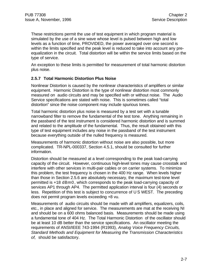These restrictions permit the use of test equipment in which program material is simulated by the use of a sine wave whose level is pulsed between high and low levels as a function of time, PROVIDED, the power averaged over one second is within the limits specified and the peak level is reduced to take into account any preequalization in the circuit. Total distortion will be within the service limits based on the type of service.

An exception to these limits is permitted for measurement of total harmonic distortion plus noise.

#### **2.5.7 Total Harmonic Distortion Plus Noise**

Nonlinear Distortion is caused by the nonlinear characteristics of amplifiers or similar equipment. Harmonic Distortion is the type of nonlinear distortion most commonly measured on audio circuits and may be specified with or without noise. The Audio Service specifications are stated with noise. This is sometimes called "total distortion" since the noise component may include spurious tones.

Total harmonic distortion plus noise is measured by a test set with a tunable narrowband filter to remove the fundamental of the test tone. Anything remaining in the passband of the test instrument is considered harmonic distortion and is summed and related to the amplitude of the fundamental. Thus, the result obtained with this type of test equipment includes any noise in the passband of the test instrument because everything outside of the nulled frequency is measured.

Measurements of harmonic distortion without noise are also possible, but more complicated. TR-NPL-000337, Section 4.5.1, should be consulted for further information.

Distortion should be measured at a level corresponding to the peak load-carrying capacity of the circuit. However, continuous high-level tones may cause crosstalk and interfere with other services in multi-pair cables or on carrier systems. To minimize this problem, the test frequency is chosen in the 400 Hz range. When levels higher than those in Section 2.5.6 are absolutely necessary, the maximum test-tone level permitted is +18 dBm0, which corresponds to the peak load-carrying capacity of services AP1 through AP4. The permitted application interval is four (4) seconds or less. Repetition of this test is subject to concurrence of U S WEST. The preceding does not permit program levels exceeding +8 vu.

Measurements of audio circuits should be made with all amplifiers, equalizers, coils, etc., in place and aligned for service. The measurements are mat at the receiving NI and should be on a 600 ohms balanced basis. Measurements should be made using a fundamental tone of 404 Hz. The Total Harmonic Distortion of the oscillator should be at least 10 dB better than the service specifications. An oscillator meeting the requirements of ANSI/IEEE 743-1994 (R1993), *Analog Voice Frequency Circuits, Standard Methods and Equipment for Measuring the Transmission Characteristics of,* should be satisfactory.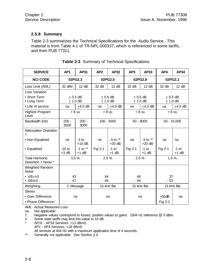#### **2.5.8 Summary**

Table 2-3 summarizes the Technical Specifications for the Audio Service. This material is from Table 4-1 of TR-NPL-000337, which is referenced in some tariffs, and from PUB 77311.

| <b>SERVICE</b>                                | AP <sub>1</sub>     | <b>AP31</b>             | AP <sub>2</sub>        | <b>AP32</b>              | AP3         | <b>AP33</b>              | AP4                     | <b>AP34</b>        |         |  |  |               |
|-----------------------------------------------|---------------------|-------------------------|------------------------|--------------------------|-------------|--------------------------|-------------------------|--------------------|---------|--|--|---------------|
| <b>NCI CODE</b>                               |                     | 02PG2.3                 | 02PG2.5                |                          | 02PG2.8     |                          |                         |                    | 02PG2.1 |  |  |               |
| Loss Limit (AML)                              | 32 dB#              | 12 dB                   | 32 dB                  | 12 dB                    | 32 dB       | 12 dB                    | 32 dB                   | 12 dB              |         |  |  |               |
| Loss Variation                                |                     |                         |                        |                          |             |                          |                         |                    |         |  |  |               |
| • Short Term<br>• Long Term                   |                     | $+0.5$ dB<br>$± 1.0$ dB | $+0.5$ dB<br>$+1.0$ dB |                          |             | $+0.5$ dB<br>$± 1.0$ dB  | $+0.5$ dB<br>$+1.0$ dB  |                    |         |  |  |               |
| • Life of service                             | na                  | $+4.0$ dB               | na                     | $+4.0$ dB                | na          | $+4.0$ dB                | na                      | $+4.0$ dB          |         |  |  |               |
| <b>Highest Program</b><br>Level               | $+8$ vu             |                         | $+8$ vu                |                          |             | $+8$ vu                  | $+8$ vu                 |                    |         |  |  |               |
| Bandwidth (Hz)                                | $200 -$<br>3500     | $200 -$<br>3000         | $100 - 5000$           |                          |             |                          | $50 - 8000$             |                    |         |  |  | $50 - 15,000$ |
| <b>Attenuation Distortion</b><br>t            |                     |                         |                        |                          |             |                          |                         |                    |         |  |  |               |
| • Non Equalized                               | na                  | $-3$ to<br>$+10$ dB     | na                     | $-3$ to $**$<br>$+20$ dB | na          | $-3$ to $**$<br>$+20$ dB | na                      | na                 |         |  |  |               |
| • Equalized                                   | $-10$ to<br>$+3$ dB | $-1$ to $**$<br>$+1$ dB | Fig 2-1                | $-1$ to<br>$+1$ dB       | Fig 2-1     | $-1$ to<br>$+1$ dB       | Fig 2-1                 | $-1$ to<br>$+1$ dB |         |  |  |               |
| <b>Total Harmonic</b><br>Distortion + Noise * |                     | 3.5%                    |                        | 2.5%                     |             | 2.0%                     | 1.0%                    |                    |         |  |  |               |
| Weighted Random<br><b>Noise</b>               |                     |                         |                        |                          |             |                          |                         |                    |         |  |  |               |
| $\bullet$ dBrn0<br>$\bullet$ dBm0             | 43<br>$-47$         |                         | 44<br>$-46$            |                          | 46<br>$-44$ |                          | 37<br>$-53$             |                    |         |  |  |               |
| Weighting                                     |                     | C Message               |                        | 15 kHz flat              |             | 15 kHz flat              | 15 kHz flat             |                    |         |  |  |               |
| <b>Stereo</b>                                 |                     |                         |                        |                          |             |                          |                         |                    |         |  |  |               |
| • Gain Difference<br>• Phase Difference       |                     | na                      |                        | na                       | na          |                          | $+0.5$ d $B$<br>Fig 2-2 | na                 |         |  |  |               |

|  |  | Table 2-3 Summary of Technical Specifications |
|--|--|-----------------------------------------------|
|  |  |                                               |

AML Actual Measured Loss

na Not applicable.

† Negative values correspond to losses; positive values to gains. 1004 Hz reference @ 0 dBm.

# Some state tariffs may limit this value to 10 dB.

AP31 - AP34 Services: +13 dBm0,

AP1 - AP4 Services: +18 dBm0

All services at 404 Hz with a maximum application time of 4 seconds.

\*\* Generally not applicable. See Section 2.4.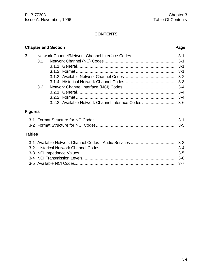### **CONTENTS**

# **Chapter and Section Page** 3. Network Channel/Network Channel Interface Codes .................................. 3-1 3.1 Network Channel (NC) Codes ........................................................ 3-1 3.1.1 General.............................................................................. 3-1 3.1.2 Format ............................................................................... 3-1 3.1.3 Available Network Channel Codes ........................................ 3-2 3.1.4 Historical Network Channel Codes........................................ 3-3 3.2 Network Channel Interface (NCI) Codes ......................................... 3-4 3.2.1 General.............................................................................. 3-4 3.2.2 Format ............................................................................... 3-4 3.2.3 Available Network Channel Interface Codes .......................... 3-6 **Figures** 3-1 Format Structure for NC Codes................................................................ 3-1

#### **Tables**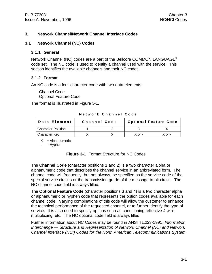#### **3. Network Channel/Network Channel Interface Codes**

#### **3.1 Network Channel (NC) Codes**

#### **3.1.1 General**

Network Channel (NC) codes are a part of the Bellcore COMMON LANGUAGE<sup>®</sup> code set. The NC code is used to identify a channel used with the service. This section identifies the available channels and their NC codes.

#### **3.1.2 Format**

An NC code is a four-character code with two data elements:

Channel Code Optional Feature Code

The format is illustrated in Figure 3-1.

**Network Channel Code**

| <b>I</b> Data Element     | Channel Code |            | <b>Optional Feature Code</b> |
|---------------------------|--------------|------------|------------------------------|
| <b>Character Position</b> |              |            |                              |
| <b>Character Key</b>      |              | $X$ or $-$ | $X$ or $-$                   |

 $X =$  Alphanumeric

 $-$  = Hyphen

| <b>Figure 3-1</b> Format Structure for NC Codes |  |  |  |  |  |  |
|-------------------------------------------------|--|--|--|--|--|--|
|-------------------------------------------------|--|--|--|--|--|--|

The **Channel Code** (character positions 1 and 2) is a two character alpha or alphanumeric code that describes the channel service in an abbreviated form. The channel code will frequently, but not always, be specified as the service code of the special service circuits or the transmission grade of the message trunk circuit. The NC channel code field is always filled.

The **Optional Feature Code** (character positions 3 and 4) is a two character alpha or alphanumeric or hyphen code that represents the option codes available for each channel code. Varying combinations of this code will allow the customer to enhance the technical performance of the requested channel, or to further identify the type of service. It is also used to specify options such as conditioning, effective 4-wire, multiplexing, etc. The NC optional code field is always filled.

Further information about NC Codes may be found in ANSI T1.223-1991, *Information Interchange — Structure and Representation of Network Channel (NC) and Network Channel Interface (NCI) Codes for the North American Telecommunications System.*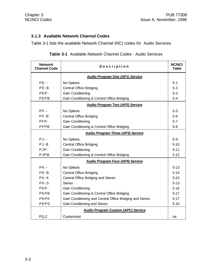#### **3.1.3 Available Network Channel Codes**

Table 3-1 lists the available Network Channel (NC) codes for Audio Services.

| <b>Network</b><br><b>Channel Code</b> | Description                                              | <b>NC/NCI</b><br><b>Table</b> |
|---------------------------------------|----------------------------------------------------------|-------------------------------|
|                                       | <b>Audio Program One (AP1) Service</b>                   |                               |
| $PE--$                                | No Options                                               | $5 - 1$                       |
| $PE-B$                                | <b>Central Office Bridging</b>                           | $5 - 2$                       |
| PEP-                                  | Gain Conditioning                                        | $5 - 3$                       |
| <b>PEPB</b>                           | Gain Conditioning & Central Office Bridging              | $5-4$                         |
|                                       | <b>Audio Program Two (AP2) Service</b>                   |                               |
| $PF - -$                              | No Options                                               | $5-5$                         |
| PF-B                                  | <b>Central Office Bridging</b>                           | $5-6$                         |
| PFP-                                  | <b>Gain Conditioning</b>                                 | $5 - 7$                       |
| PFPB                                  | Gain Conditioning & Central Office Bridging              | $5-8$                         |
|                                       | <b>Audio Program Three (AP3) Service</b>                 |                               |
| $PJ - -$                              | No Options                                               | $5-9$                         |
| $PJ-B$                                | <b>Central Office Bridging</b>                           | $5 - 10$                      |
| PJP-                                  | Gain Conditioning                                        | $5 - 11$                      |
| <b>PJPB</b>                           | Gain Conditioning & Central Office Bridging              | $5 - 12$                      |
|                                       | <b>Audio Program Four (AP4) Service</b>                  |                               |
| $PK - -$                              | No Options                                               | $5 - 13$                      |
| $PK-B$                                | <b>Central Office Bridging</b>                           | $5 - 14$                      |
| PK-K                                  | Central Office Bridging and Stereo                       | $5 - 15$                      |
| PK-S                                  | <b>Stereo</b>                                            | $5 - 13$                      |
| PKP-                                  | Gain Conditioning                                        | $5 - 16$                      |
| <b>PKPB</b>                           | Gain Conditioning & Central Office Bridging              | $5 - 17$                      |
| <b>PKPK</b>                           | Gain Conditioning and Central Office Bridging and Stereo | $5 - 17$                      |
| <b>PKPS</b>                           | Gain Conditioning and Stereo                             | $5 - 16$                      |
|                                       | <b>Audio Program Custom (APC) Service</b>                |                               |
| PQ-Z                                  | Customized                                               | na                            |

**Table 3-1** Available Network Channel Codes - Audio Services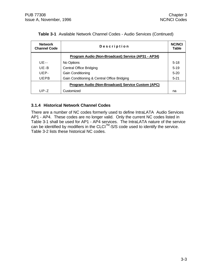| <b>Network</b><br><b>Channel Code</b> | Description                                         | <b>NC/NCI</b><br><b>Table</b> |
|---------------------------------------|-----------------------------------------------------|-------------------------------|
|                                       | Program Audio (Non-Broadcast) Service (AP31 - AP34) |                               |
| $UE - -$                              | No Options                                          | $5-18$                        |
| $UE-B$                                | <b>Central Office Bridging</b>                      | $5 - 19$                      |
| UFP-                                  | <b>Gain Conditioning</b>                            | $5 - 20$                      |
| <b>UEPB</b>                           | Gain Conditioning & Central Office Bridging         | $5 - 21$                      |
|                                       | Program Audio (Non-Broadcast) Service Custom (APC)  |                               |
| $UP-Z$                                | Customized                                          | na                            |

#### **Table 3-1** Available Network Channel Codes - Audio Services (Continued)

#### **3.1.4 Historical Network Channel Codes**

There are a number of NC codes formerly used to define IntraLATA Audio Services AP1 - AP4. These codes are no longer valid. Only the current NC codes listed in Table 3-1 shall be used for AP1 - AP4 services. The IntraLATA nature of the service can be identified by modifiers in the CLCI<sup>™</sup>-S/S code used to identify the service. Table 3-2 lists these historical NC codes.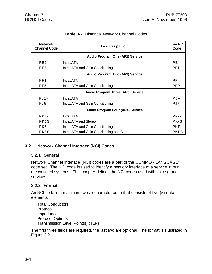| <b>Network</b><br><b>Channel Code</b> | Description                                | Use NC<br>Code |
|---------------------------------------|--------------------------------------------|----------------|
|                                       | <b>Audio Program One (AP1) Service</b>     |                |
| <b>PE1-</b>                           | <b>IntraLATA</b>                           | $PE--$         |
| <b>PE5-</b>                           | IntraLATA and Gain Conditioning            | PEP-           |
|                                       | <b>Audio Program Two (AP2) Service</b>     |                |
| $PF1-$                                | <b>IntraLATA</b>                           | $PF - -$       |
| <b>PF5-</b>                           | IntraLATA and Gain Conditioning            | PFP-           |
|                                       | <b>Audio Program Three (AP3) Service</b>   |                |
| $PJ1-$                                | <b>IntraLATA</b>                           | $PJ - -$       |
| PJ5-                                  | IntraLATA and Gain Conditioning            | PJP-           |
|                                       | <b>Audio Program Four (AP4) Service</b>    |                |
| $PK1 -$                               | <b>IntraLATA</b>                           | $PK - -$       |
| PK <sub>1</sub> S                     | IntraLATA and Stereo                       | PK-S           |
| PK5-                                  | IntraLATA and Gain Conditioning            | PKP-           |
| PK5S                                  | IntraLATA and Gain Conditioning and Stereo | <b>PKPS</b>    |

## **Table 3-2** Historical Network Channel Codes

#### **3.2 Network Channel Interface (NCI) Codes**

#### **3.2.1 General**

Network Channel Interface (NCI) codes are a part of the COMMON LANGUAGE® code set. The NCI code is used to identify a network interface of a service in our mechanized systems. This chapter defines the NCI codes used with voice grade services.

#### **3.2.2 Format**

An NCI code is a maximum twelve-character code that consists of five (5) data elements:

```
Total Conductors
Protocol
Impedance
Protocol Options
Transmission Level Point(s) (TLP)
```
The first three fields are required, the last two are optional The format is illustrated in Figure 3-2.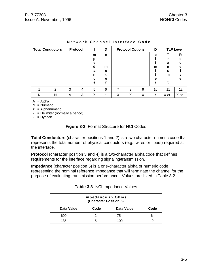| <b>Total Conductors</b> |   |   | <b>Protocol</b> |        | D         |   | <b>Protocol Options</b> |   | D         |        | <b>TLP Level</b> |
|-------------------------|---|---|-----------------|--------|-----------|---|-------------------------|---|-----------|--------|------------------|
|                         |   |   |                 | m      | e         |   |                         |   | e         |        | R                |
|                         |   |   |                 | р<br>е |           |   |                         |   |           | a      | е<br>C.          |
|                         |   |   |                 | d      | m         |   |                         |   | m         | n      | е                |
|                         |   |   |                 | a<br>n | е         |   |                         |   |           | s<br>m | v                |
|                         |   |   |                 | c      | е         |   |                         |   | е         |        | е                |
|                         |   |   |                 | e      |           |   |                         |   |           |        |                  |
|                         | 2 | 3 | 4               | 5      | 6         | 7 | 8                       | 9 | 10        | 11     | 12 <sup>2</sup>  |
| N                       | N | Α | Α               | Χ      | $\bullet$ | Х | Χ                       | Х | $\bullet$ | X or - | $X$ or -         |

#### **Network Channel Interface Code**

 $A = Alpha$ 

 $N =$  Numeric

 $X =$  Alphanumeric

 $\bullet$  = Delimiter (normally a period)

 $-$  = Hyphen

#### **Figure 3-2** Format Structure for NCI Codes

**Total Conductors** (character positions 1 and 2) is a two-character numeric code that represents the total number of physical conductors (e.g., wires or fibers) required at the interface.

**Protocol** (character position 3 and 4) is a two-character alpha code that defines requirements for the interface regarding signaling/transmission.

**Impedance** (character position 5) is a one-character alpha or numeric code representing the nominal reference impedance that will terminate the channel for the purpose of evaluating transmission performance. Values are listed in Table 3-2

| Impedance in Ohms<br>(Character Position 5) |      |            |      |  |
|---------------------------------------------|------|------------|------|--|
| Data Value                                  | Code | Data Value | Code |  |
| 600                                         |      | 75         |      |  |
| 135                                         | h    | 100        |      |  |

|  |  | Table 3-3 NCI Impedance Values |  |
|--|--|--------------------------------|--|
|--|--|--------------------------------|--|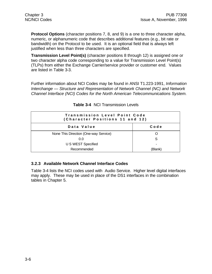**Protocol Options** (character positions 7, 8, and 9) is a one to three character alpha, numeric, or alphanumeric code that describes additional features (e.g., bit rate or bandwidth) on the Protocol to be used. It is an optional field that is always left justified when less than three characters are specified.

**Transmission Level Point(s)** (character positions 8 through 12) is assigned one or two character alpha code corresponding to a value for Transmission Level Point(s) (TLPs) from either the Exchange Carrier/service provider or customer end. Values are listed in Table 3-3.

Further information about NCI Codes may be found in ANSI T1.223-1991, *Information Interchange — Structure and Representation of Network Channel (NC) and Network Channel Interface (NCI) Codes for the North American Telecommunications System.*

| <b>Transmission Level Point Code</b><br>(Character Positions 11 and 12) |                          |  |
|-------------------------------------------------------------------------|--------------------------|--|
| Data Value                                                              | Code                     |  |
| None This Direction (One-way Service)                                   |                          |  |
| 0.0                                                                     | S                        |  |
| U S WEST Specified                                                      | $\overline{\phantom{0}}$ |  |
| Recommended                                                             | (Blank)                  |  |

**Table 3-4** NCI Transmission Levels

# **3.2.3 Available Network Channel Interface Codes**

Table 3-4 lists the NCI codes used with Audio Service. Higher level digital interfaces may apply. These may be used in place of the DS1 interfaces in the combination tables in Chapter 5.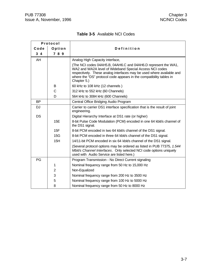$\mathbf{r}$ 

 $\overline{\phantom{0}}$ 

| <b>Table 3-5</b> Available NCI Codes |
|--------------------------------------|
|--------------------------------------|

| Protocol   |                |                                                                                                                                                                                                                                                                                          |
|------------|----------------|------------------------------------------------------------------------------------------------------------------------------------------------------------------------------------------------------------------------------------------------------------------------------------------|
| Code       | Option         | Definition                                                                                                                                                                                                                                                                               |
| $3\quad 4$ | 789            |                                                                                                                                                                                                                                                                                          |
| AH         |                | Analog High Capacity interface,                                                                                                                                                                                                                                                          |
|            |                | (The NCI codes 04AH5.B, 04AH6.C and 04AH6.D represent the WA1,<br>WA2 and WA2A level of Wideband Special Access NCI codes<br>respectively. These analog interfaces may be used where available and<br>where the "DS" protocol code appears in the compatibility tables in<br>Chapter 5.) |
|            | B              | 60 kHz to 108 kHz (12 channels)                                                                                                                                                                                                                                                          |
|            | C              | 312 kHz to 552 kHz (60 Channels)                                                                                                                                                                                                                                                         |
|            | D              | 564 kHz to 3084 kHz (600 Channels)                                                                                                                                                                                                                                                       |
| <b>BP</b>  |                | Central Office Bridging Audio Program                                                                                                                                                                                                                                                    |
| <b>DJ</b>  |                | Carrier to carrier DS1 interface specification that is the result of joint<br>engineering.                                                                                                                                                                                               |
| <b>DS</b>  |                | Digital Hierarchy Interface at DS1 rate (or higher)                                                                                                                                                                                                                                      |
|            | 15E            | 8-bit Pulse Code Modulation (PCM) encoded in one 64 kbit/s channel of<br>the DS1 signal.                                                                                                                                                                                                 |
|            | 15F            | 8-bit PCM encoded in two 64 kbit/s channel of the DS1 signal.                                                                                                                                                                                                                            |
|            | 15G            | 8-bit PCM encoded in three 64 kbit/s channel of the DS1 signal.                                                                                                                                                                                                                          |
|            | 15H            | 14/11-bit PCM encoded in six 64 kbit/s channel of the DS1 signal.                                                                                                                                                                                                                        |
|            |                | (Several protocol options may be ordered as listed in PUB 77375, 1.544<br>Mbit/s Channel Interfaces. Only selected NCI code options uniquely<br>used with Audio Service are listed here.)                                                                                                |
| PG         |                | Program Transmission - No Direct Current signaling                                                                                                                                                                                                                                       |
|            | 1              | Nominal frequency range from 50 Hz to 15,000 Hz                                                                                                                                                                                                                                          |
|            | $\overline{2}$ | Non-Equalized                                                                                                                                                                                                                                                                            |
|            | 3              | Nominal frequency range from 200 Hz to 3500 Hz                                                                                                                                                                                                                                           |
|            | 5              | Nominal frequency range from 100 Hz to 5000 Hz                                                                                                                                                                                                                                           |
|            | 8              | Nominal frequency range from 50 Hz to 8000 Hz                                                                                                                                                                                                                                            |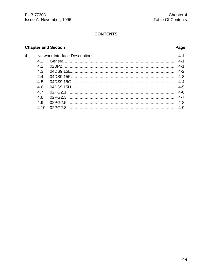# **CONTENTS**

### **Chapter and Section**

4.

## Page

| 41  |  |
|-----|--|
| 4.2 |  |
| 4.3 |  |
| 4.4 |  |
| 4.5 |  |
| 4.6 |  |
| 4.7 |  |
| 4.8 |  |
| 4.9 |  |
| 410 |  |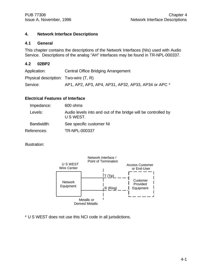#### **4. Network Interface Descriptions**

#### **4.1 General**

This chapter contains the descriptions of the Network Interfaces (NIs) used with Audio Service. Descriptions of the analog "AH" interfaces may be found in TR-NPL-000337.

#### **4.2 02BP2**

| Application:                          | Central Office Bridging Arrangement                 |
|---------------------------------------|-----------------------------------------------------|
| Physical description: Two-wire (T, R) |                                                     |
| Service:                              | AP1, AP2, AP3, AP4, AP31, AP32, AP33, AP34 or APC * |

#### **Electrical Features of Interface**

| Impedance:  | 600 ohms                                                                   |
|-------------|----------------------------------------------------------------------------|
| Levels:     | Audio levels into and out of the bridge will be controlled by<br>U S WEST. |
| Bandwidth:  | See specific customer NI                                                   |
| References: | TR-NPL-000337                                                              |

Illustration:



\* U S WEST does not use this NCI code in all jurisdictions.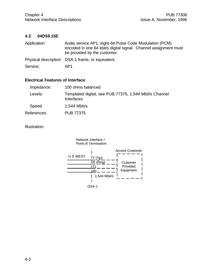#### **4.3 04DS9.15E**

| Application: | Audio service AP1, eight-bit Pulse Code Modulation (PCM)<br>encoded in one 64 kbit/s digital signal. Channel assignment must<br>be provided by the customer. |  |  |
|--------------|--------------------------------------------------------------------------------------------------------------------------------------------------------------|--|--|
|              | Physical description: DSX-1 frame, or equivalent.                                                                                                            |  |  |
| Service:     | AP1                                                                                                                                                          |  |  |

#### **Electrical Features of Interface**

| Impedance:  | 100 ohms balanced                                                                  |
|-------------|------------------------------------------------------------------------------------|
| Levels:     | Templated digital, see PUB 77375, 1.544 Mbit/s Channel<br><i><b>Interfaces</b></i> |
| Speed:      | 1.544 Mbit/s                                                                       |
| References: | PUB 77375                                                                          |

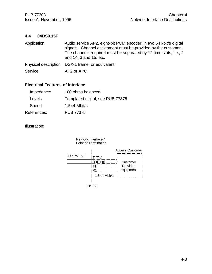#### **4.4 04DS9.15F**

| Application: | Audio service AP2, eight-bit PCM encoded in two 64 kbit/s digital<br>signals. Channel assignment must be provided by the customer.<br>The channels required must be separated by 12 time slots, i.e., 2<br>and 14, 3 and 15, etc. |
|--------------|-----------------------------------------------------------------------------------------------------------------------------------------------------------------------------------------------------------------------------------|
|              | Physical description: DSX-1 frame, or equivalent.                                                                                                                                                                                 |

Service: AP2 or APC

# **Electrical Features of Interface**

| Impedance:  | 100 ohms balanced                |
|-------------|----------------------------------|
| Levels:     | Templated digital, see PUB 77375 |
| Speed:      | 1.544 Mbit/s                     |
| References: | <b>PUB 77375</b>                 |

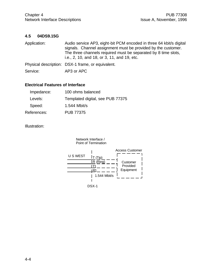#### **4.5 04DS9.15G**

| Application: | Audio service AP3, eight-bit PCM encoded in three 64 kbit/s digital<br>signals. Channel assignment must be provided by the customer.<br>The three channels required must be separated by 8 time slots,<br>i.e., 2, 10, and 18, or 3, 11, and 19, etc. |  |
|--------------|-------------------------------------------------------------------------------------------------------------------------------------------------------------------------------------------------------------------------------------------------------|--|
|              | Physical description: DSX-1 frame, or equivalent.                                                                                                                                                                                                     |  |
| Service:     | AP3 or APC                                                                                                                                                                                                                                            |  |

#### **Electrical Features of Interface**

| Impedance:  | 100 ohms balanced                |
|-------------|----------------------------------|
| Levels:     | Templated digital, see PUB 77375 |
| Speed:      | 1.544 Mbit/s                     |
| References: | <b>PUB 77375</b>                 |

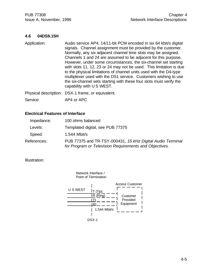#### **4.6 04DS9.15H**

Application: Audio service AP4, 14/11-bit PCM encoded in six 64 kbit/s digital signals. Channel assignment must be provided by the customer. Normally, any six adjacent channel time slots may be assigned. Channels 1 and 24 are assumed to be adjacent for this purpose. However, under some circumstances, the six-channel set starting with slots 11, 12, 23 or 24 may not be used. This limitation is due to the physical limitations of channel units used with the D4-type multiplexer used with the DS1 service. Customers wishing to use the six-channel sets starting with these four slots must verify the capability with U S WEST. Physical description: DSX-1 frame, or equivalent.

Service: AP4 or APC

#### **Electrical Features of Interface**

| Impedance:  | 100 ohms balanced                                                                                                    |
|-------------|----------------------------------------------------------------------------------------------------------------------|
| Levels:     | Templated digital, see PUB 77375                                                                                     |
| Speed:      | 1.544 Mbit/s                                                                                                         |
| References: | PUB 77375 and TR-TSY-000431, 15 kHz Digital Audio Terminal<br>for Program or Television Requirements and Objectives. |



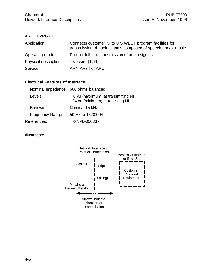### **4.7 02PG2.1**

| Application:          | Connects customer NI to U S WEST program facilities for<br>transmission of audio signals composed of speech and/or music. |
|-----------------------|---------------------------------------------------------------------------------------------------------------------------|
| Operating mode:       | Part- or full-time transmission of audio signals                                                                          |
| Physical description: | Two-wire $(T, R)$                                                                                                         |
| Service:              | AP4, AP34 or APC                                                                                                          |

#### **Electrical Features of Interface**

| Nominal Impedance: 600 ohms balanced |                                                                          |
|--------------------------------------|--------------------------------------------------------------------------|
| Levels:                              | + 8 vu (maximum) at transmitting NI<br>- 24 vu (minimum) at receiving NI |
| Bandwidth:                           | Nominal 15 kHz                                                           |
| <b>Frequency Range</b>               | 50 Hz to 15,000 Hz                                                       |
| References:                          | TR-NPL-000337                                                            |
|                                      |                                                                          |

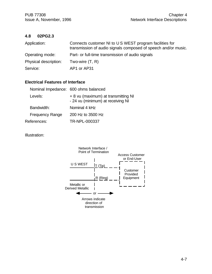#### **4.8 02PG2.3**

| Application:          | Connects customer NI to U S WEST program facilities for<br>transmission of audio signals composed of speech and/or music. |
|-----------------------|---------------------------------------------------------------------------------------------------------------------------|
| Operating mode:       | Part- or full-time transmission of audio signals                                                                          |
| Physical description: | Two-wire $(T, R)$                                                                                                         |
| Service:              | AP1 or AP31                                                                                                               |

#### **Electrical Features of Interface**

| Nominal Impedance: 600 ohms balanced |                                                                          |
|--------------------------------------|--------------------------------------------------------------------------|
| Levels:                              | + 8 vu (maximum) at transmitting NI<br>- 24 vu (minimum) at receiving NI |
| Bandwidth:                           | Nominal 4 kHz                                                            |
| <b>Frequency Range</b>               | 200 Hz to 3500 Hz                                                        |
| References:                          | TR-NPL-000337                                                            |
|                                      |                                                                          |

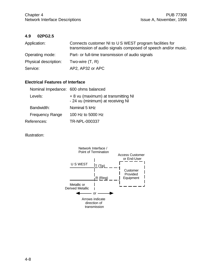#### **4.9 02PG2.5**

| Application:          | Connects customer NI to U S WEST program facilities for<br>transmission of audio signals composed of speech and/or music. |
|-----------------------|---------------------------------------------------------------------------------------------------------------------------|
| Operating mode:       | Part- or full-time transmission of audio signals                                                                          |
| Physical description: | Two-wire $(T, R)$                                                                                                         |
| Service:              | AP2, AP32 or APC                                                                                                          |

#### **Electrical Features of Interface**

| Nominal Impedance: 600 ohms balanced |                                                                          |
|--------------------------------------|--------------------------------------------------------------------------|
| Levels:                              | + 8 vu (maximum) at transmitting NI<br>- 24 vu (minimum) at receiving NI |
| Bandwidth:                           | Nominal 5 kHz                                                            |
| <b>Frequency Range</b>               | 100 Hz to 5000 Hz                                                        |
| References:                          | TR-NPL-000337                                                            |
|                                      |                                                                          |

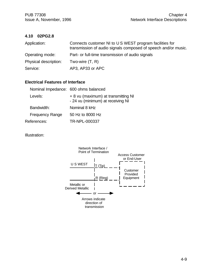#### **4.10 02PG2.8**

| Application:          | Connects customer NI to U S WEST program facilities for<br>transmission of audio signals composed of speech and/or music. |  |
|-----------------------|---------------------------------------------------------------------------------------------------------------------------|--|
| Operating mode:       | Part- or full-time transmission of audio signals                                                                          |  |
| Physical description: | Two-wire $(T, R)$                                                                                                         |  |
| Service:              | AP3, AP33 or APC                                                                                                          |  |

#### **Electrical Features of Interface**

| Nominal Impedance: 600 ohms balanced |                                                                          |
|--------------------------------------|--------------------------------------------------------------------------|
| Levels:                              | + 8 vu (maximum) at transmitting NI<br>- 24 vu (minimum) at receiving NI |
| Bandwidth:                           | Nominal 8 kHz                                                            |
| <b>Frequency Range</b>               | 50 Hz to 8000 Hz                                                         |
| References:                          | TR-NPL-000337                                                            |
|                                      |                                                                          |

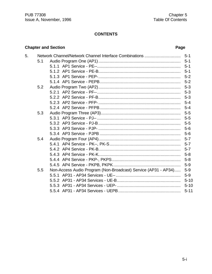# **CONTENTS**

## **Chapter and Section**

| 5. |     |                                                                |          |
|----|-----|----------------------------------------------------------------|----------|
|    | 5.1 |                                                                |          |
|    |     |                                                                |          |
|    |     |                                                                |          |
|    |     |                                                                |          |
|    |     |                                                                |          |
|    | 5.2 |                                                                |          |
|    |     |                                                                |          |
|    |     |                                                                |          |
|    |     |                                                                |          |
|    |     |                                                                | $5 - 4$  |
|    | 5.3 |                                                                |          |
|    |     |                                                                |          |
|    |     |                                                                |          |
|    |     |                                                                |          |
|    |     |                                                                |          |
|    | 5.4 |                                                                |          |
|    |     |                                                                |          |
|    |     |                                                                |          |
|    |     |                                                                |          |
|    |     |                                                                |          |
|    |     |                                                                | $5-9$    |
|    | 5.5 | Non-Access Audio Program (Non-Broadcast) Service (AP31 - AP34) | $5-9$    |
|    |     |                                                                | $5-9$    |
|    |     |                                                                | $5 - 10$ |
|    |     |                                                                | $5 - 10$ |
|    |     |                                                                | $5 - 11$ |
|    |     |                                                                |          |

### Page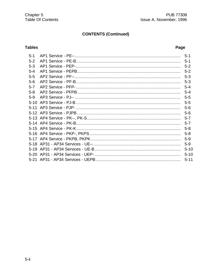# **CONTENTS (Continued)**

# **Tables**

# Page

| $5-1$   | $5 - 1$  |
|---------|----------|
| $5 - 2$ |          |
| $5 - 3$ | $5 - 2$  |
| $5 - 4$ | $5 - 2$  |
| $5 - 5$ |          |
| $5-6$   | $5 - 3$  |
| $5 - 7$ | $5 - 4$  |
| $5 - 8$ | $5 - 4$  |
| $5-9$   | $5 - 5$  |
|         | $5 - 5$  |
|         | $5-6$    |
|         | $5-6$    |
|         |          |
|         | $5 - 7$  |
|         | $5 - 8$  |
|         | $5 - 8$  |
|         | $5-9$    |
|         | $5-9$    |
|         | $5 - 10$ |
|         | $5 - 10$ |
|         | $5 - 11$ |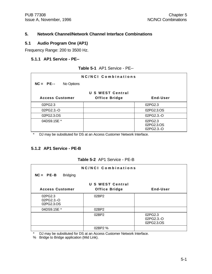#### **5. Network Channel/Network Channel Interface Combinations**

#### **5.1 Audio Program One (AP1)**

Frequency Range: 200 to 3500 Hz.

#### **5.1.1 AP1 Service - PE--**

| Table 5-1 AP1 Service - PE-- |  |  |  |  |
|------------------------------|--|--|--|--|
|------------------------------|--|--|--|--|

| NC/NCI Combinations     |                                          |                                     |  |  |
|-------------------------|------------------------------------------|-------------------------------------|--|--|
| No Options<br>$NC = PE$ |                                          |                                     |  |  |
| <b>Access Customer</b>  | U S WEST Central<br><b>Office Bridge</b> | End-User                            |  |  |
| 02PG2.3                 |                                          | 02PG2.3                             |  |  |
| 02PG2.3.-O              |                                          | 02PG2.3.OS                          |  |  |
| 02PG2.3.OS              |                                          | 02PG2.3.-O                          |  |  |
| 04DS9.15E *             |                                          | 02PG2.3<br>02PG2.3.OS<br>02PG2.3.-O |  |  |

\* DJ may be substituted for DS at an Access Customer Network Interface.

#### **5.1.2 AP1 Service - PE-B**

| Table 5-2 AP1 Service - PE-B |
|------------------------------|
|------------------------------|

|                                     | NC/NCI Combinations  |                                     |
|-------------------------------------|----------------------|-------------------------------------|
| $NC = PE-B$<br><b>Bridging</b>      |                      |                                     |
|                                     | U S WEST Central     |                                     |
| <b>Access Customer</b>              | <b>Office Bridge</b> | End-User                            |
| 02PG2.3<br>02PG2.3.-O<br>02PG2.3.OS | 02BP2                |                                     |
| 04DS9.15E *                         | 02BP2                |                                     |
|                                     | 02BP2                | 02PG2.3<br>02PG2.3.-O<br>02PG2.3.OS |
|                                     | 02BP2 %              |                                     |

\* DJ may be substituted for DS at an Access Customer Network Interface.

% Bridge to Bridge application (Mid Link).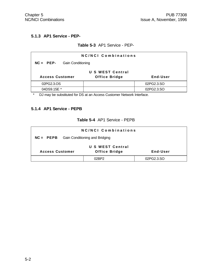#### **5.1.3 AP1 Service - PEP-**

#### **Table 5-3** AP1 Service - PEP-

| <b>NC/NCI Combinations</b>    |                      |            |  |  |  |
|-------------------------------|----------------------|------------|--|--|--|
| $NC = PEP-$ Gain Conditioning |                      |            |  |  |  |
| U S WEST Central              |                      |            |  |  |  |
| <b>Access Customer</b>        | <b>Office Bridge</b> | End-User   |  |  |  |
| 02PG2.3.OS                    |                      | 02PG2.3.SO |  |  |  |
| 04DS9.15E *                   |                      | 02PG2.3.SO |  |  |  |

\* DJ may be substituted for DS at an Access Customer Network Interface.

### **5.1.4 AP1 Service - PEPB**

|  |  | Table 5-4 AP1 Service - PEPB |
|--|--|------------------------------|
|--|--|------------------------------|

| NC/NCI Combinations                             |                      |            |  |  |
|-------------------------------------------------|----------------------|------------|--|--|
| <b>NC = PEPB</b> Gain Conditioning and Bridging |                      |            |  |  |
| <b>U S WEST Central</b>                         |                      |            |  |  |
| <b>Access Customer</b>                          | <b>Office Bridge</b> | End-User   |  |  |
|                                                 | N2RP2                | 02PG2.3.SO |  |  |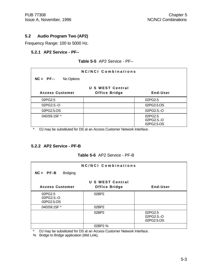#### **5.2 Audio Program Two (AP2)**

Frequency Range: 100 to 5000 Hz.

#### **5.2.1 AP2 Service - PF--**

#### **Table 5-5** AP2 Service - PF--

| NC/NCI Combinations       |                                          |                                     |  |  |
|---------------------------|------------------------------------------|-------------------------------------|--|--|
| No Options<br>$NC = PF--$ |                                          |                                     |  |  |
| <b>Access Customer</b>    | U S WEST Central<br><b>Office Bridge</b> | End-User                            |  |  |
| 02PG2.5                   |                                          | 02PG2.5                             |  |  |
| 02PG2.5.-O                |                                          | 02PG2.5.OS                          |  |  |
| 02PG2.5.OS                |                                          | 02PG2.5.-O                          |  |  |
| 04DS9.15F *               |                                          | 02PG2.5<br>02PG2.5.-O<br>02PG2.5.OS |  |  |

\* DJ may be substituted for DS at an Access Customer Network Interface.

#### **5.2.2 AP2 Service - PF-B**

#### **Table 5-6** AP2 Service - PF-B

|                                | NC/NCI Combinations  |            |
|--------------------------------|----------------------|------------|
| $NC = PF-B$<br><b>Bridging</b> |                      |            |
|                                | U S WEST Central     |            |
| <b>Access Customer</b>         | <b>Office Bridge</b> | End-User   |
| 02PG2.5                        | 02BP2                |            |
| 02PG2.5.-O<br>02PG2.5.OS       |                      |            |
| 04DS9.15F *                    | 02BP2                |            |
|                                | 02BP2                | 02PG2.5    |
|                                |                      | 02PG2.5.-O |
|                                |                      | 02PG2.5.OS |
|                                | 02BP2 %              |            |

\* DJ may be substituted for DS at an Access Customer Network Interface.

% Bridge to Bridge application (Mid Link).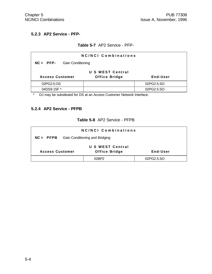# **5.2.3 AP2 Service - PFP-**

#### **Table 5-7** AP2 Service - PFP-

| NC/NCI Combinations                     |                      |            |  |  |  |
|-----------------------------------------|----------------------|------------|--|--|--|
| $NC = PFP-$<br><b>Gain Conditioning</b> |                      |            |  |  |  |
| U S WEST Central                        |                      |            |  |  |  |
| <b>Access Customer</b>                  | <b>Office Bridge</b> | End-User   |  |  |  |
| 02PG2.5.OS                              |                      | 02PG2.5.SO |  |  |  |
| 04DS9.15F *                             |                      | 02PG2.5.SO |  |  |  |

\* DJ may be substituted for DS at an Access Customer Network Interface.

#### **5.2.4 AP2 Service - PFPB**

### **Table 5-8** AP2 Service - PFPB

| <b>NC/NCI Combinations</b>                                        |       |            |  |  |
|-------------------------------------------------------------------|-------|------------|--|--|
| <b>Gain Conditioning and Bridging</b><br>$NC = PFPB$              |       |            |  |  |
| U S WEST Central                                                  |       |            |  |  |
| <b>Office Bridge</b><br><b>Access Customer</b><br><b>End-User</b> |       |            |  |  |
|                                                                   | 02RP2 | 02PG2.5.SO |  |  |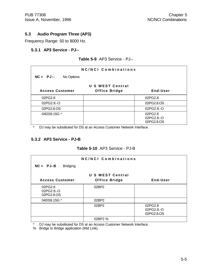#### **5.3 Audio Program Three (AP3)**

Frequency Range: 50 to 8000 Hz.

#### **5.3.1 AP3 Service - PJ--**

#### **Table 5-9** AP3 Service - PJ--

| <b>NC/NCI Combinations</b> |                                          |                                     |  |  |
|----------------------------|------------------------------------------|-------------------------------------|--|--|
| No Options<br>$NC = PJ--$  |                                          |                                     |  |  |
| <b>Access Customer</b>     | U S WEST Central<br><b>Office Bridge</b> | End-User                            |  |  |
| 02PG2.8                    |                                          | 02PG2.8                             |  |  |
| 02PG2.8.-O                 |                                          | 02PG2.8.OS                          |  |  |
| 02PG2.8.OS                 |                                          | 02PG2.8.-O                          |  |  |
| 04DS9.15G *                |                                          | 02PG2.8<br>02PG2.8.-O<br>02PG2.8.OS |  |  |

\* DJ may be substituted for DS at an Access Customer Network Interface.

#### **5.3.2 AP3 Service - PJ-B**

#### **Table 5-10** AP3 Service - PJ-B

| NC/NCI Combinations            |                      |            |  |
|--------------------------------|----------------------|------------|--|
| $NC = PJ-B$<br><b>Bridging</b> |                      |            |  |
|                                | U S WEST Central     |            |  |
| <b>Access Customer</b>         | <b>Office Bridge</b> | End-User   |  |
| 02PG2.8                        | 02BP2                |            |  |
| 02PG2.8 .- O<br>02PG2.8.OS     |                      |            |  |
| 04DS9.15G *                    | 02BP2                |            |  |
|                                | 02BP2                | 02PG2.8    |  |
|                                |                      | 02PG2.8.-O |  |
|                                |                      | 02PG2.8.OS |  |
|                                | 02BP2 %              |            |  |

DJ may be substituted for DS at an Access Customer Network Interface.

% Bridge to Bridge application (Mid Link).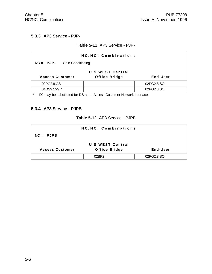#### **5.3.3 AP3 Service - PJP-**

#### **Table 5-11** AP3 Service - PJP-

| NC/NCI Combinations                                        |  |            |  |  |
|------------------------------------------------------------|--|------------|--|--|
| <b>Gain Conditioning</b><br>$NC = PJP$ -                   |  |            |  |  |
| U S WEST Central                                           |  |            |  |  |
| <b>Office Bridge</b><br>End-User<br><b>Access Customer</b> |  |            |  |  |
| 02PG2.8.OS<br>02PG2.8.SO                                   |  |            |  |  |
| 04DS9.15G *                                                |  | 02PG2.8.SO |  |  |

\* DJ may be substituted for DS at an Access Customer Network Interface.

### **5.3.4 AP3 Service - PJPB**

|  | Table 5-12 AP3 Service - PJPB |
|--|-------------------------------|
|--|-------------------------------|

|                                                            | <b>NC/NCI Combinations</b> |            |  |
|------------------------------------------------------------|----------------------------|------------|--|
| $NC =$ PJPB                                                |                            |            |  |
|                                                            | U S WEST Central           |            |  |
| <b>Office Bridge</b><br><b>Access Customer</b><br>End-User |                            |            |  |
|                                                            | 02RP2                      | 02PG2.8.SO |  |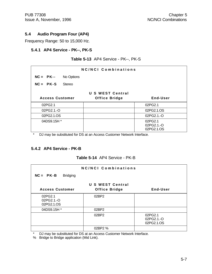#### **5.4 Audio Program Four (AP4)**

Frequency Range: 50 to 15,000 Hz.

#### **5.4.1 AP4 Service - PK--, PK-S**

| NC/NCI Combinations    |            |                      |                                     |
|------------------------|------------|----------------------|-------------------------------------|
| $NC = PK--$            | No Options |                      |                                     |
| $NC = PK-S$            | Stereo     |                      |                                     |
|                        |            | U S WEST Central     |                                     |
| <b>Access Customer</b> |            | <b>Office Bridge</b> | End-User                            |
| 02PG2.1                |            |                      | 02PG2.1                             |
| 02PG2.1.-O             |            |                      | 02PG2.1.OS                          |
| 02PG2.1.OS             |            |                      | 02PG2.1.-O                          |
| 04DS9.15H *            |            |                      | 02PG2.1<br>02PG2.1.-O<br>02PG2.1.OS |

**Table 5-13** AP4 Service - PK--, PK-S

DJ may be substituted for DS at an Access Customer Network Interface.

#### **5.4.2 AP4 Service - PK-B**

#### **Table 5-14** AP4 Service - PK-B

| NC/NCI Combinations                 |                      |                                     |  |
|-------------------------------------|----------------------|-------------------------------------|--|
| $NC = PK-B$<br><b>Bridging</b>      |                      |                                     |  |
|                                     | U S WEST Central     |                                     |  |
| <b>Access Customer</b>              | <b>Office Bridge</b> | End-User                            |  |
| 02PG2.1<br>02PG2.1.-O<br>02PG2.1.OS | 02BP2                |                                     |  |
| 04DS9.15H *                         | 02BP2                |                                     |  |
|                                     | 02BP2                | 02PG2.1<br>02PG2.1.-O<br>02PG2.1.OS |  |
|                                     | 02BP2 %              |                                     |  |

\* DJ may be substituted for DS at an Access Customer Network Interface.

% Bridge to Bridge application (Mid Link).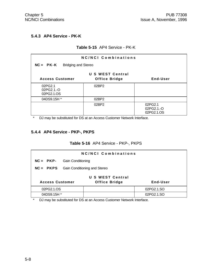#### **5.4.3 AP4 Service - PK-K**

#### **Table 5-15** AP4 Service - PK-K

| <b>NC/NCI Combinations</b><br>$NC = PK - K$ Bridging and Stereo         |       |                                     |  |  |
|-------------------------------------------------------------------------|-------|-------------------------------------|--|--|
| U S WEST Central<br>End-User<br><b>Access Customer</b><br>Office Bridge |       |                                     |  |  |
| 02PG2.1<br>02PG2.1.-O<br>02PG2.1.OS                                     | 02BP2 |                                     |  |  |
| 04DS9.15H *                                                             | 02BP2 |                                     |  |  |
|                                                                         | 02BP2 | 02PG2.1<br>02PG2.1.-O<br>02PG2.1.OS |  |  |

\* DJ may be substituted for DS at an Access Customer Network Interface.

### **5.4.4 AP4 Service - PKP-, PKPS**

### **Table 5-16** AP4 Service - PKP-, PKPS

| <b>NC/NCI Combinations</b>                                 |                          |  |            |  |
|------------------------------------------------------------|--------------------------|--|------------|--|
| $NC = PKP$ -                                               | <b>Gain Conditioning</b> |  |            |  |
| <b>NC = PKPS</b> Gain Conditioning and Stereo              |                          |  |            |  |
| <b>U S WEST Central</b>                                    |                          |  |            |  |
| End-User<br><b>Access Customer</b><br><b>Office Bridge</b> |                          |  |            |  |
| 02PG2.1.OS                                                 |                          |  | 02PG2.1.SO |  |
| 04DS9.15H *                                                |                          |  | 02PG2.1.SO |  |

\* DJ may be substituted for DS at an Access Customer Network Interface.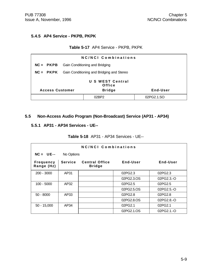#### **5.4.5 AP4 Service - PKPB, PKPK**

#### **Table 5-17** AP4 Service - PKPB, PKPK

| <b>NC/NCI Combinations</b>                                                               |                                                            |       |            |
|------------------------------------------------------------------------------------------|------------------------------------------------------------|-------|------------|
|                                                                                          | $NC = PKPB$ Gain Conditioning and Bridging                 |       |            |
|                                                                                          | <b>NC = PKPK</b> Gain Conditioning and Bridging and Stereo |       |            |
| <b>U S WEST Central</b><br>Office<br><b>Bridge</b><br>End-User<br><b>Access Customer</b> |                                                            |       |            |
|                                                                                          |                                                            | 02BP2 | 02PG2.1.SO |

#### **5.5 Non-Access Audio Program (Non-Broadcast) Service (AP31 - AP34)**

#### **5.5.1 AP31 - AP34 Services - UE--**

#### **Table 5-18** AP31 - AP34 Services - UE--

| NC/NCI Combinations            |                |                                        |            |             |
|--------------------------------|----------------|----------------------------------------|------------|-------------|
| $NC = UE--$<br>No Options      |                |                                        |            |             |
| <b>Frequency</b><br>Range (Hz) | <b>Service</b> | <b>Central Office</b><br><b>Bridge</b> | End-User   | End-User    |
| $200 - 3000$                   | AP31           |                                        | 02PG2.3    | 02PG2.3     |
|                                |                |                                        | 02PG2.3.OS | 02PG2.3.-O  |
| $100 - 5000$                   | AP32           |                                        | 02PG2.5    | 02PG2.5     |
|                                |                |                                        | 02PG2.5.OS | 02PG2.5.-O  |
| $50 - 8000$                    | AP33           |                                        | 02PG2.8    | 02PG2.8     |
|                                |                |                                        | 02PG2.8.OS | 02PG2.8.-O  |
| AP34<br>$50 - 15,000$          |                |                                        | 02PG2.1    | 02PG2.1     |
|                                |                |                                        | 02PG2.1.OS | 02PG2.1 - O |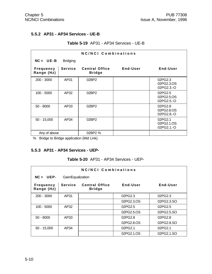#### **5.5.2 AP31 - AP34 Services - UE-B**

#### **Table 5-19** AP31 - AP34 Services - UE-B

| <b>NC/NCI Combinations</b>     |                 |                                        |          |                                      |
|--------------------------------|-----------------|----------------------------------------|----------|--------------------------------------|
| $NC = UE-B$                    | <b>Bridging</b> |                                        |          |                                      |
| <b>Frequency</b><br>Range (Hz) | <b>Service</b>  | <b>Central Office</b><br><b>Bridge</b> | End-User | End-User                             |
| $200 - 3000$                   | AP31            | 02BP2                                  |          | 02PG2.3<br>02PG2.3.OS<br>02PG2.3.-O  |
| $100 - 5000$                   | AP32            | 02BP2                                  |          | 02PG2.5<br>02PG2.5.OS<br>02PG2.5.-O  |
| $50 - 8000$                    | AP33            | 02BP2                                  |          | 02PG2.8<br>02PG2.8.OS<br>02PG2.8 - O |
| $50 - 15,000$                  | AP34            | 02BP2                                  |          | 02PG2.1<br>02PG2.1.OS<br>02PG2.1.-O  |
| Any of above                   |                 | 02BP2 %                                |          |                                      |

% Bridge to Bridge application (Mid Link).

#### **5.5.3 AP31 - AP34 Services - UEP-**

#### **Table 5-20** AP31 - AP34 Services - UEP-

| NC/NCI Combinations            |                   |                                        |            |            |
|--------------------------------|-------------------|----------------------------------------|------------|------------|
| $NC = UEP$ -                   | Gain/Equalization |                                        |            |            |
| <b>Frequency</b><br>Range (Hz) | <b>Service</b>    | <b>Central Office</b><br><b>Bridge</b> | End-User   | End-User   |
| $200 - 3000$                   | AP31              |                                        | 02PG2.3    | 02PG2.3    |
|                                |                   |                                        | 02PG2.3.OS | 02PG2.3.SO |
| $100 - 5000$                   | AP32              |                                        | 02PG2.5    | 02PG2.5    |
|                                |                   |                                        | 02PG2.5.OS | 02PG2.5.SO |
| $50 - 8000$                    | AP33              |                                        | 02PG2.8    | 02PG2.8    |
|                                |                   |                                        | 02PG2.8.OS | 02PG2.8.SO |
| $50 - 15,000$                  | AP34              |                                        | 02PG2.1    | 02PG2.1    |
|                                |                   |                                        | 02PG2.1.OS | 02PG2.1.SO |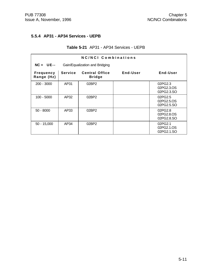#### **5.5.4 AP31 - AP34 Services - UEPB**

#### **Table 5-21** AP31 - AP34 Services - UEPB

| NC/NCI Combinations            |                |                                        |          |                                     |
|--------------------------------|----------------|----------------------------------------|----------|-------------------------------------|
| $NC = UE--$                    |                | Gain/Equalization and Bridging         |          |                                     |
| <b>Frequency</b><br>Range (Hz) | <b>Service</b> | <b>Central Office</b><br><b>Bridge</b> | End-User | End-User                            |
| $200 - 3000$                   | AP31           | 02BP2                                  |          | 02PG2.3<br>02PG2.3.OS<br>02PG2.3.SO |
| 100 - 5000                     | AP32           | 02BP2                                  |          | 02PG2.5<br>02PG2.5.OS<br>02PG2.5.SO |
| $50 - 8000$                    | AP33           | 02BP2                                  |          | 02PG2.8<br>02PG2.8.OS<br>02PG2.8.SO |
| $50 - 15,000$                  | AP34           | 02BP2                                  |          | 02PG2.1<br>02PG2.1.OS<br>02PG2.1.SO |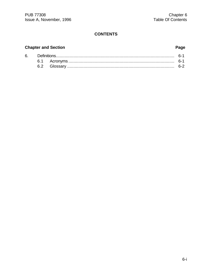# **CONTENTS**

### **Chapter and Section Page**

| 6. |  |  |  |  |
|----|--|--|--|--|
|    |  |  |  |  |
|    |  |  |  |  |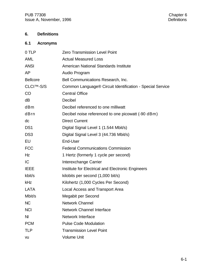# **6. Definitions**

# **6.1 Acronyms**

| 0 TLP                  | Zero Transmission Level Point                             |
|------------------------|-----------------------------------------------------------|
| <b>AML</b>             | <b>Actual Measured Loss</b>                               |
| <b>ANSI</b>            | American National Standards Institute                     |
| AP                     | Audio Program                                             |
| <b>Bellcore</b>        | Bell Communications Research, Inc.                        |
| CLCI <sup>™</sup> -S/S | Common Language® Circuit Identification - Special Service |
| CO                     | <b>Central Office</b>                                     |
| dB                     | Decibel                                                   |
| dBm                    | Decibel referenced to one milliwatt                       |
| dBrn                   | Decibel noise referenced to one picowatt (-90 dBm)        |
| dc                     | <b>Direct Current</b>                                     |
| DS <sub>1</sub>        | Digital Signal Level 1 (1.544 Mbit/s)                     |
| DS <sub>3</sub>        | Digital Signal Level 3 (44.736 Mbit/s)                    |
| EU                     | End-User                                                  |
| <b>FCC</b>             | <b>Federal Communications Commission</b>                  |
| Hz                     | 1 Hertz (formerly 1 cycle per second)                     |
| IC                     | Interexchange Carrier                                     |
| <b>IEEE</b>            | Institute for Electrical and Electronic Engineers         |
| kbit/s                 | kilobits per second (1,000 bit/s)                         |
| kHz                    | Kilohertz (1,000 Cycles Per Second)                       |
| <b>LATA</b>            | Local Access and Transport Area                           |
| Mbit/s                 | Megabit per Second                                        |
| <b>NC</b>              | <b>Network Channel</b>                                    |
| <b>NCI</b>             | <b>Network Channel Interface</b>                          |
| N <sub>l</sub>         | <b>Network Interface</b>                                  |
| <b>PCM</b>             | <b>Pulse Code Modulation</b>                              |
| <b>TLP</b>             | <b>Transmission Level Point</b>                           |
| VU                     | <b>Volume Unit</b>                                        |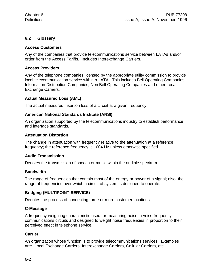#### **6.2 Glossary**

#### **Access Customers**

Any of the companies that provide telecommunications service between LATAs and/or order from the Access Tariffs. Includes Interexchange Carriers.

#### **Access Providers**

Any of the telephone companies licensed by the appropriate utility commission to provide local telecommunication service within a LATA. This includes Bell Operating Companies, Information Distribution Companies, Non-Bell Operating Companies and other Local Exchange Carriers.

#### **Actual Measured Loss (AML)**

The actual measured insertion loss of a circuit at a given frequency.

#### **American National Standards Institute (ANSI)**

An organization supported by the telecommunications industry to establish performance and interface standards.

#### **Attenuation Distortion**

The change in attenuation with frequency relative to the attenuation at a reference frequency; the reference frequency is 1004 Hz unless otherwise specified.

#### **Audio Transmission**

Denotes the transmission of speech or music within the audible spectrum.

#### **Bandwidth**

The range of frequencies that contain most of the energy or power of a signal; also, the range of frequencies over which a circuit of system is designed to operate.

#### **Bridging (MULTIPOINT-SERVICE)**

Denotes the process of connecting three or more customer locations.

#### **C-Message**

A frequency-weighting characteristic used for measuring noise in voice frequency communications circuits and designed to weight noise frequencies in proportion to their perceived effect in telephone service.

#### **Carrier**

An organization whose function is to provide telecommunications services. Examples are: Local Exchange Carriers, Interexchange Carriers, Cellular Carriers, etc.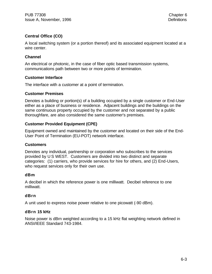### **Central Office (CO)**

A local switching system (or a portion thereof) and its associated equipment located at a wire center.

#### **Channel**

An electrical or photonic, in the case of fiber optic based transmission systems, communications path between two or more points of termination.

#### **Customer Interface**

The interface with a customer at a point of termination.

#### **Customer Premises**

Denotes a building or portion(s) of a building occupied by a single customer or End-User either as a place of business or residence. Adjacent buildings and the buildings on the same continuous property occupied by the customer and not separated by a public thoroughfare, are also considered the same customer's premises.

#### **Customer Provided Equipment (CPE)**

Equipment owned and maintained by the customer and located on their side of the End-User Point of Termination (EU-POT) network interface.

#### **Customers**

Denotes any individual, partnership or corporation who subscribes to the services provided by U S WEST. Customers are divided into two distinct and separate categories: (1) carriers, who provide services for hire for others, and (2) End-Users, who request services only for their own use.

#### **dBm**

A decibel in which the reference power is one milliwatt. Decibel reference to one milliwatt.

#### **dBrn**

A unit used to express noise power relative to one picowatt (-90 dBm).

#### **dBrn 15 kHz**

Noise power is dBrn weighted according to a 15 kHz flat weighting network defined in ANSI/IEEE Standard 743-1984.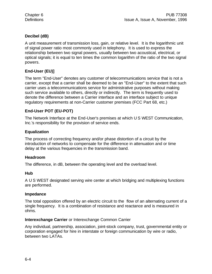#### **Decibel (dB)**

A unit measurement of transmission loss, gain, or relative level. It is the logarithmic unit of signal power ratio most commonly used in telephony. It is used to express the relationship between two signal powers, usually between two acoustical, electrical, or optical signals; it is equal to ten times the common logarithm of the ratio of the two signal powers.

# **End-User (EU)]**

The term "End-User" denotes any customer of telecommunications service that is not a carrier, except that a carrier shall be deemed to be an "End-User" to the extent that such carrier uses a telecommunications service for administrative purposes without making such service available to others, directly or indirectly. The term is frequently used to denote the difference between a Carrier interface and an interface subject to unique regulatory requirements at non-Carrier customer premises (FCC Part 68, etc.)

# **End-User POT (EU-POT)**

The Network Interface at the End-User's premises at which U S WEST Communication, Inc.'s responsibility for the provision of service ends.

#### **Equalization**

The process of correcting frequency and/or phase distortion of a circuit by the introduction of networks to compensate for the difference in attenuation and or time delay at the various frequencies in the transmission band.

#### **Headroom**

The difference, in dB, between the operating level and the overload level.

#### **Hub**

A U S WEST designated serving wire center at which bridging and multiplexing functions are performed.

#### **Impedance**

The total opposition offered by an electric circuit to the flow of an alternating current of a single frequency. It is a combination of resistance and reactance and is measured in ohms.

#### **Interexchange Carrier** or Interexchange Common Carrier

Any individual, partnership, association, joint-stock company, trust, governmental entity or corporation engaged for hire in interstate or foreign communication by wire or radio, between two LATAs.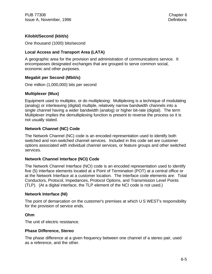#### **Kilobit/Second (kbit/s)**

One thousand (1000) bits/second

#### **Local Access and Transport Area (LATA)**

A geographic area for the provision and administration of communications service. It encompasses designated exchanges that are grouped to serve common social, economic and other purposes.

#### **Megabit per Second (Mbit/s)**

One million (1,000,000) bits per second

#### **Multiplexer (Mux)**

Equipment used to multiplex, or do multiplexing: Multiplexing is a technique of modulating (analog) or interleaving (digital) multiple, relatively narrow bandwidth channels into a single channel having a wider bandwidth (analog) or higher bit-rate (digital). The term Multiplexer implies the demultiplexing function is present to reverse the process so it is not usually stated.

#### **Network Channel (NC) Code**

The Network Channel (NC) code is an encoded representation used to identify both switched and non-switched channel services. Included in this code set are customer options associated with individual channel services, or feature groups and other switched services.

#### **Network Channel Interface (NCI) Code**

The Network Channel Interface (NCI) code is an encoded representation used to identify five (5) interface elements located at a Point of Termination (POT) at a central office or at the Network Interface at a customer location. The Interface code elements are: Total Conductors, Protocol, Impedances, Protocol Options, and Transmission Level Points (TLP). (At a digital interface, the TLP element of the NCI code is not used.)

#### **Network Interface (NI)**

The point of demarcation on the customer's premises at which U S WEST's responsibility for the provision of service ends.

#### **Ohm**

The unit of electric resistance.

#### **Phase Difference, Stereo**

The phase difference at a given frequency between one channel of a stereo pair, used as a reference, and the other.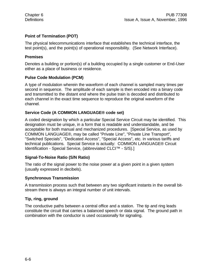### **Point of Termination (POT)**

The physical telecommunications interface that establishes the technical interface, the test point(s), and the point(s) of operational responsibility. (See Network Interface).

#### **Premises**

Denotes a building or portion(s) of a building occupied by a single customer or End-User either as a place of business or residence.

#### **Pulse Code Modulation (PCM)**

A type of modulation wherein the waveform of each channel is sampled many times per second in sequence. The amplitude of each sample is then encoded into a binary code and transmitted to the distant end where the pulse train is decoded and distributed to each channel in the exact time sequence to reproduce the original waveform of the channel.

#### **Service Code (A COMMON LANGUAGE® code set)**

A coded designation by which a particular Special Service Circuit may be identified. This designation must be unique, in a form that is readable and understandable, and be acceptable for both manual and mechanized procedures. [Special Service, as used by COMMON LANGUAGE®, may be called "Private Line", "Private Line Transport", "Switched Specials", "Dedicated Access", "Special Access", etc. in various tariffs and technical publications. Special Service is actually: COMMON LANGUAGE® Circuit Identification - Special Service, (abbreviated CLCI™ - S/S).]

#### **Signal-To-Noise Ratio (S/N Ratio)**

The ratio of the signal power to the noise power at a given point in a given system (usually expressed in decibels).

#### **Synchronous Transmission**

A transmission process such that between any two significant instants in the overall bitstream there is always an integral number of unit intervals.

#### **Tip, ring, ground**

The conductive paths between a central office and a station. The tip and ring leads constitute the circuit that carries a balanced speech or data signal. The ground path in combination with the conductor is used occasionally for signaling.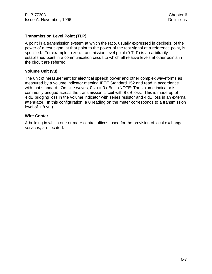PUB 77308 Chapter 6 Issue A, November, 1996 **Definitions** 

#### **Transmission Level Point (TLP)**

A point in a transmission system at which the ratio, usually expressed in decibels, of the power of a test signal at that point to the power of the test signal at a reference point, is specified. For example, a zero transmission level point (0 TLP) is an arbitrarily established point in a communication circuit to which all relative levels at other points in the circuit are referred.

#### **Volume Unit (vu)**

The unit of measurement for electrical speech power and other complex waveforms as measured by a volume indicator meeting IEEE Standard 152 and read in accordance with that standard. On sine waves,  $0$  vu =  $0$  dBm. (NOTE: The volume indicator is commonly bridged across the transmission circuit with 8 dB loss. This is made up of 4 dB bridging loss in the volume indicator with series resistor and 4 dB loss in an external attenuator. In this configuration, a 0 reading on the meter corresponds to a transmission level of  $+ 8$  vu.)

#### **Wire Center**

A building in which one or more central offices, used for the provision of local exchange services, are located.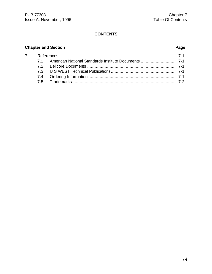# **CONTENTS**

### **Chapter and Section Page**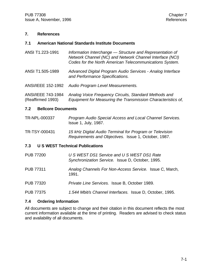#### **7. References**

#### **7.1 American National Standards Institute Documents**

- ANSI T1.223-1991 *Information Interchange Structure and Representation of Network Channel (NC) and Network Channel Interface (NCI) Codes for the North American Telecommunications System.*
- ANSI T1.505-1989 *Advanced Digital Program Audio Services Analog Interface and Performance Specifications.*
- ANSI/IEEE 152-1992 *Audio Program Level Measurements.*

ANSI/IEEE 743-1984 *Analog Voice Frequency Circuits, Standard Methods and* (Reaffirmed 1993) *Equipment for Measuring the Transmission Characteristics of,*

#### **7.2 Bellcore Documents**

| TR-NPL-000337 | Program Audio Special Access and Local Channel Services. |
|---------------|----------------------------------------------------------|
|               | <b>Issue 1, July, 1987.</b>                              |

TR-TSY-000431 *15 kHz Digital Audio Terminal for Program or Television Requirements and Objectives.* Issue 1, October, 1987.

#### **7.3 U S WEST Technical Publications**

PUB 77200 *U S WEST DS1 Service and U S WEST DS1 Rate Synchronization Service.* Issue D, October, 1995. PUB 77311 *Analog Channels For Non-Access Service.* Issue C, March, 1991. PUB 77320 *Private Line Services.* Issue B, October 1989. PUB 77375 *1.544 Mbit/s Channel Interfaces.* Issue D, October, 1995.

#### **7.4 Ordering Information**

All documents are subject to change and their citation in this document reflects the most current information available at the time of printing. Readers are advised to check status and availability of all documents.